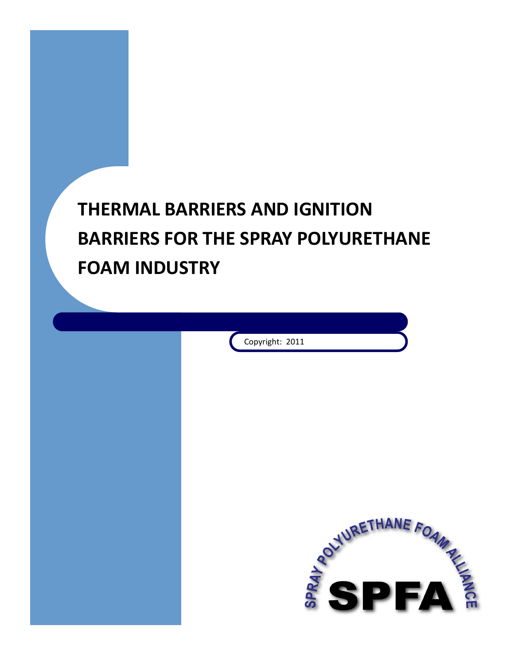

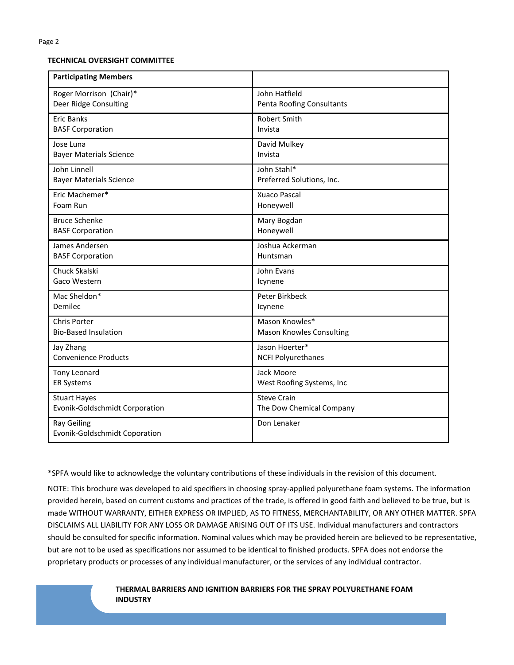#### **TECHNICAL OVERSIGHT COMMITTEE**

| <b>Participating Members</b>                        |                                 |
|-----------------------------------------------------|---------------------------------|
| Roger Morrison (Chair)*                             | John Hatfield                   |
| Deer Ridge Consulting                               | Penta Roofing Consultants       |
| <b>Eric Banks</b>                                   | <b>Robert Smith</b>             |
| <b>BASF Corporation</b>                             | Invista                         |
| Jose Luna                                           | David Mulkey                    |
| <b>Bayer Materials Science</b>                      | Invista                         |
| John Linnell                                        | John Stahl*                     |
| <b>Bayer Materials Science</b>                      | Preferred Solutions, Inc.       |
| Eric Machemer*                                      | Xuaco Pascal                    |
| Foam Run                                            | Honeywell                       |
| <b>Bruce Schenke</b>                                | Mary Bogdan                     |
| <b>BASF Corporation</b>                             | Honeywell                       |
| James Andersen                                      | Joshua Ackerman                 |
| <b>BASF Corporation</b>                             | Huntsman                        |
| Chuck Skalski                                       | John Evans                      |
| Gaco Western                                        | Icynene                         |
| Mac Sheldon*                                        | Peter Birkbeck                  |
| Demilec                                             | Icynene                         |
| Chris Porter                                        | Mason Knowles*                  |
| <b>Bio-Based Insulation</b>                         | <b>Mason Knowles Consulting</b> |
| Jay Zhang                                           | Jason Hoerter*                  |
| <b>Convenience Products</b>                         | <b>NCFI Polyurethanes</b>       |
| Tony Leonard                                        | Jack Moore                      |
| <b>ER Systems</b>                                   | West Roofing Systems, Inc       |
| <b>Stuart Hayes</b>                                 | <b>Steve Crain</b>              |
| Evonik-Goldschmidt Corporation                      | The Dow Chemical Company        |
| <b>Ray Geiling</b><br>Evonik-Goldschmidt Coporation | Don Lenaker                     |

\*SPFA would like to acknowledge the voluntary contributions of these individuals in the revision of this document.

NOTE: This brochure was developed to aid specifiers in choosing spray-applied polyurethane foam systems. The information provided herein, based on current customs and practices of the trade, is offered in good faith and believed to be true, but is made WITHOUT WARRANTY, EITHER EXPRESS OR IMPLIED, AS TO FITNESS, MERCHANTABILITY, OR ANY OTHER MATTER. SPFA DISCLAIMS ALL LIABILITY FOR ANY LOSS OR DAMAGE ARISING OUT OF ITS USE. Individual manufacturers and contractors should be consulted for specific information. Nominal values which may be provided herein are believed to be representative, but are not to be used as specifications nor assumed to be identical to finished products. SPFA does not endorse the proprietary products or processes of any individual manufacturer, or the services of any individual contractor.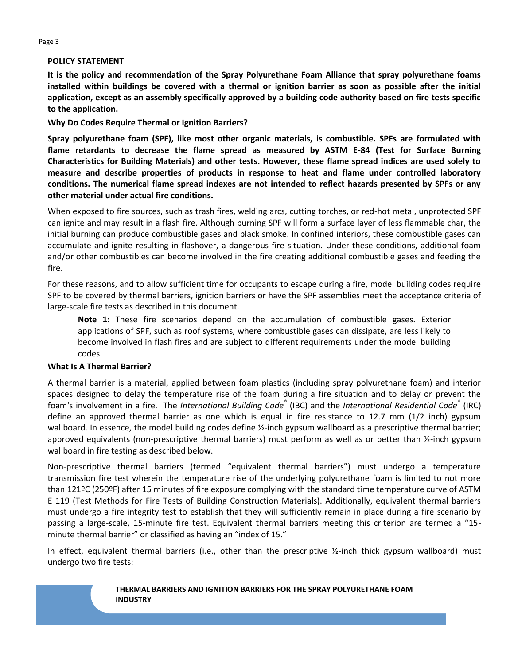# **POLICY STATEMENT**

**It is the policy and recommendation of the Spray Polyurethane Foam Alliance that spray polyurethane foams installed within buildings be covered with a thermal or ignition barrier as soon as possible after the initial application, except as an assembly specifically approved by a building code authority based on fire tests specific to the application.**

**Why Do Codes Require Thermal or Ignition Barriers?**

**Spray polyurethane foam (SPF), like most other organic materials, is combustible. SPFs are formulated with flame retardants to decrease the flame spread as measured by ASTM E-84 (Test for Surface Burning Characteristics for Building Materials) and other tests. However, these flame spread indices are used solely to measure and describe properties of products in response to heat and flame under controlled laboratory conditions. The numerical flame spread indexes are not intended to reflect hazards presented by SPFs or any other material under actual fire conditions.**

When exposed to fire sources, such as trash fires, welding arcs, cutting torches, or red-hot metal, unprotected SPF can ignite and may result in a flash fire. Although burning SPF will form a surface layer of less flammable char, the initial burning can produce combustible gases and black smoke. In confined interiors, these combustible gases can accumulate and ignite resulting in flashover, a dangerous fire situation. Under these conditions, additional foam and/or other combustibles can become involved in the fire creating additional combustible gases and feeding the fire.

For these reasons, and to allow sufficient time for occupants to escape during a fire, model building codes require SPF to be covered by thermal barriers, ignition barriers or have the SPF assemblies meet the acceptance criteria of large-scale fire tests as described in this document.

**Note 1:** These fire scenarios depend on the accumulation of combustible gases. Exterior applications of SPF, such as roof systems, where combustible gases can dissipate, are less likely to become involved in flash fires and are subject to different requirements under the model building codes.

# **What Is A Thermal Barrier?**

A thermal barrier is a material, applied between foam plastics (including spray polyurethane foam) and interior spaces designed to delay the temperature rise of the foam during a fire situation and to delay or prevent the foam's involvement in a fire. The *International Building Code®* (IBC) and the *International Residential Code®* (IRC) define an approved thermal barrier as one which is equal in fire resistance to 12.7 mm (1/2 inch) gypsum wallboard. In essence, the model building codes define ½-inch gypsum wallboard as a prescriptive thermal barrier; approved equivalents (non-prescriptive thermal barriers) must perform as well as or better than ½-inch gypsum wallboard in fire testing as described below.

Non-prescriptive thermal barriers (termed "equivalent thermal barriers") must undergo a temperature transmission fire test wherein the temperature rise of the underlying polyurethane foam is limited to not more than 121ºC (250ºF) after 15 minutes of fire exposure complying with the standard time temperature curve of ASTM E 119 (Test Methods for Fire Tests of Building Construction Materials). Additionally, equivalent thermal barriers must undergo a fire integrity test to establish that they will sufficiently remain in place during a fire scenario by passing a large-scale, 15-minute fire test. Equivalent thermal barriers meeting this criterion are termed a "15 minute thermal barrier" or classified as having an "index of 15."

In effect, equivalent thermal barriers (i.e., other than the prescriptive ½-inch thick gypsum wallboard) must undergo two fire tests:

#### **THERMAL BARRIERS AND IGNITION BARRIERS FOR THE SPRAY POLYURETHANE FOAM INDUSTRY**

Page 3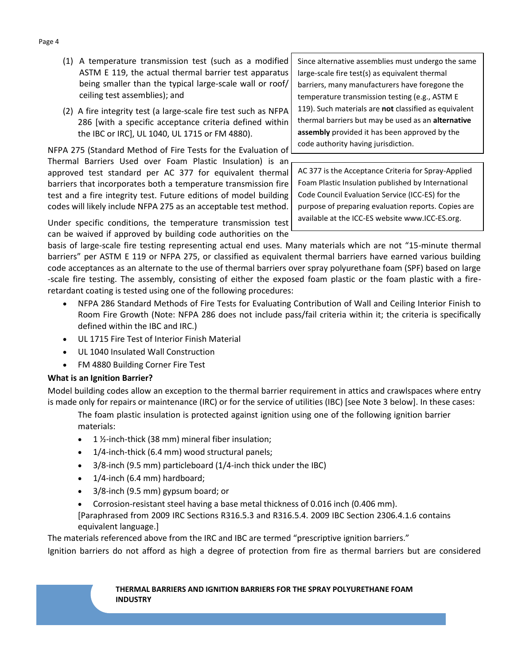- (1) A temperature transmission test (such as a modified ASTM E 119, the actual thermal barrier test apparatus being smaller than the typical large-scale wall or roof/ ceiling test assemblies); and
- (2) A fire integrity test (a large-scale fire test such as NFPA 286 [with a specific acceptance criteria defined within the IBC or IRC], UL 1040, UL 1715 or FM 4880).

NFPA 275 (Standard Method of Fire Tests for the Evaluation of Thermal Barriers Used over Foam Plastic Insulation) is an approved test standard per AC 377 for equivalent thermal barriers that incorporates both a temperature transmission fire test and a fire integrity test. Future editions of model building codes will likely include NFPA 275 as an acceptable test method.

Since alternative assemblies must undergo the same large-scale fire test(s) as equivalent thermal barriers, many manufacturers have foregone the temperature transmission testing (e.g., ASTM E 119). Such materials are **not** classified as equivalent thermal barriers but may be used as an **alternative assembly** provided it has been approved by the code authority having jurisdiction.

AC 377 is the Acceptance Criteria for Spray-Applied Foam Plastic Insulation published by International Code Council Evaluation Service (ICC-ES) for the purpose of preparing evaluation reports. Copies are available at the ICC-ES website www.ICC-ES.org.

Under specific conditions, the temperature transmission test can be waived if approved by building code authorities on the

basis of large-scale fire testing representing actual end uses. Many materials which are not "15-minute thermal barriers" per ASTM E 119 or NFPA 275, or classified as equivalent thermal barriers have earned various building code acceptances as an alternate to the use of thermal barriers over spray polyurethane foam (SPF) based on large -scale fire testing. The assembly, consisting of either the exposed foam plastic or the foam plastic with a fireretardant coating is tested using one of the following procedures:

- NFPA 286 Standard Methods of Fire Tests for Evaluating Contribution of Wall and Ceiling Interior Finish to Room Fire Growth (Note: NFPA 286 does not include pass/fail criteria within it; the criteria is specifically defined within the IBC and IRC.)
- UL 1715 Fire Test of Interior Finish Material
- UL 1040 Insulated Wall Construction
- FM 4880 Building Corner Fire Test

# **What is an Ignition Barrier?**

Model building codes allow an exception to the thermal barrier requirement in attics and crawlspaces where entry is made only for repairs or maintenance (IRC) or for the service of utilities (IBC) [see Note 3 below]. In these cases:

The foam plastic insulation is protected against ignition using one of the following ignition barrier materials:

- 1 ½-inch-thick (38 mm) mineral fiber insulation;
- 1/4-inch-thick (6.4 mm) wood structural panels;
- 3/8-inch (9.5 mm) particleboard (1/4-inch thick under the IBC)
- $\bullet$  1/4-inch (6.4 mm) hardboard;
- 3/8-inch (9.5 mm) gypsum board; or
- Corrosion-resistant steel having a base metal thickness of 0.016 inch (0.406 mm).

[Paraphrased from 2009 IRC Sections R316.5.3 and R316.5.4. 2009 IBC Section 2306.4.1.6 contains equivalent language.]

The materials referenced above from the IRC and IBC are termed "prescriptive ignition barriers."

Ignition barriers do not afford as high a degree of protection from fire as thermal barriers but are considered

#### **THERMAL BARRIERS AND IGNITION BARRIERS FOR THE SPRAY POLYURETHANE FOAM INDUSTRY**

#### Page 4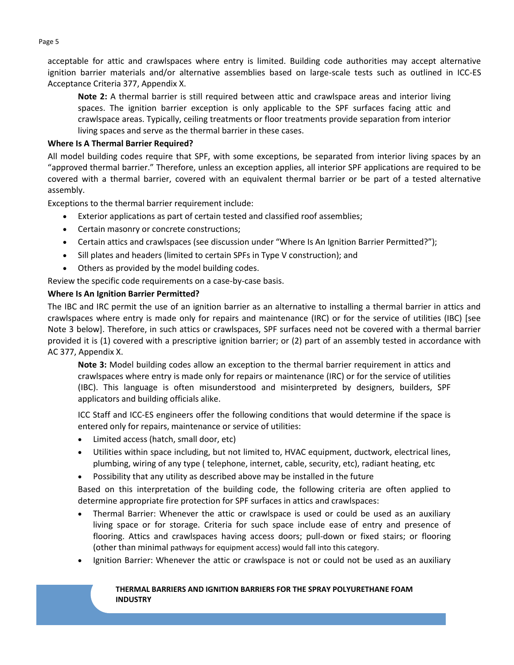acceptable for attic and crawlspaces where entry is limited. Building code authorities may accept alternative ignition barrier materials and/or alternative assemblies based on large-scale tests such as outlined in ICC-ES Acceptance Criteria 377, Appendix X.

**Note 2:** A thermal barrier is still required between attic and crawlspace areas and interior living spaces. The ignition barrier exception is only applicable to the SPF surfaces facing attic and crawlspace areas. Typically, ceiling treatments or floor treatments provide separation from interior living spaces and serve as the thermal barrier in these cases.

# **Where Is A Thermal Barrier Required?**

All model building codes require that SPF, with some exceptions, be separated from interior living spaces by an "approved thermal barrier." Therefore, unless an exception applies, all interior SPF applications are required to be covered with a thermal barrier, covered with an equivalent thermal barrier or be part of a tested alternative assembly.

Exceptions to the thermal barrier requirement include:

- Exterior applications as part of certain tested and classified roof assemblies;
- Certain masonry or concrete constructions;
- Certain attics and crawlspaces (see discussion under "Where Is An Ignition Barrier Permitted?");
- Sill plates and headers (limited to certain SPFs in Type V construction); and
- Others as provided by the model building codes.

Review the specific code requirements on a case-by-case basis.

# **Where Is An Ignition Barrier Permitted?**

The IBC and IRC permit the use of an ignition barrier as an alternative to installing a thermal barrier in attics and crawlspaces where entry is made only for repairs and maintenance (IRC) or for the service of utilities (IBC) [see Note 3 below]. Therefore, in such attics or crawlspaces, SPF surfaces need not be covered with a thermal barrier provided it is (1) covered with a prescriptive ignition barrier; or (2) part of an assembly tested in accordance with AC 377, Appendix X.

**Note 3:** Model building codes allow an exception to the thermal barrier requirement in attics and crawlspaces where entry is made only for repairs or maintenance (IRC) or for the service of utilities (IBC). This language is often misunderstood and misinterpreted by designers, builders, SPF applicators and building officials alike.

ICC Staff and ICC-ES engineers offer the following conditions that would determine if the space is entered only for repairs, maintenance or service of utilities:

- Limited access (hatch, small door, etc)
- Utilities within space including, but not limited to, HVAC equipment, ductwork, electrical lines, plumbing, wiring of any type ( telephone, internet, cable, security, etc), radiant heating, etc
- Possibility that any utility as described above may be installed in the future

Based on this interpretation of the building code, the following criteria are often applied to determine appropriate fire protection for SPF surfaces in attics and crawlspaces:

- Thermal Barrier: Whenever the attic or crawlspace is used or could be used as an auxiliary living space or for storage. Criteria for such space include ease of entry and presence of flooring. Attics and crawlspaces having access doors; pull-down or fixed stairs; or flooring (other than minimal pathways for equipment access) would fall into this category.
- Ignition Barrier: Whenever the attic or crawlspace is not or could not be used as an auxiliary

#### **THERMAL BARRIERS AND IGNITION BARRIERS FOR THE SPRAY POLYURETHANE FOAM INDUSTRY**

Page 5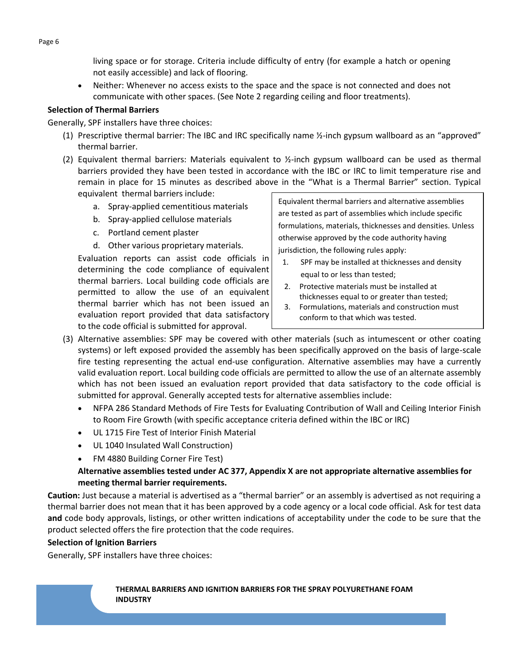living space or for storage. Criteria include difficulty of entry (for example a hatch or opening not easily accessible) and lack of flooring.

 Neither: Whenever no access exists to the space and the space is not connected and does not communicate with other spaces. (See Note 2 regarding ceiling and floor treatments).

# **Selection of Thermal Barriers**

Generally, SPF installers have three choices:

- (1) Prescriptive thermal barrier: The IBC and IRC specifically name ½-inch gypsum wallboard as an "approved" thermal barrier.
- (2) Equivalent thermal barriers: Materials equivalent to  $\frac{1}{2}$ -inch gypsum wallboard can be used as thermal barriers provided they have been tested in accordance with the IBC or IRC to limit temperature rise and remain in place for 15 minutes as described above in the "What is a Thermal Barrier" section. Typical equivalent thermal barriers include:
	- a. Spray-applied cementitious materials
	- b. Spray-applied cellulose materials
	- c. Portland cement plaster
	- d. Other various proprietary materials.

Evaluation reports can assist code officials in determining the code compliance of equivalent thermal barriers. Local building code officials are permitted to allow the use of an equivalent thermal barrier which has not been issued an evaluation report provided that data satisfactory to the code official is submitted for approval.

Equivalent thermal barriers and alternative assemblies are tested as part of assemblies which include specific formulations, materials, thicknesses and densities. Unless otherwise approved by the code authority having jurisdiction, the following rules apply:

- 1. SPF may be installed at thicknesses and density equal to or less than tested;
- 2. Protective materials must be installed at thicknesses equal to or greater than tested;
- 3. Formulations, materials and construction must conform to that which was tested.
- (3) Alternative assemblies: SPF may be covered with other materials (such as intumescent or other coating systems) or left exposed provided the assembly has been specifically approved on the basis of large-scale fire testing representing the actual end-use configuration. Alternative assemblies may have a currently valid evaluation report. Local building code officials are permitted to allow the use of an alternate assembly which has not been issued an evaluation report provided that data satisfactory to the code official is submitted for approval. Generally accepted tests for alternative assemblies include:
	- NFPA 286 Standard Methods of Fire Tests for Evaluating Contribution of Wall and Ceiling Interior Finish to Room Fire Growth (with specific acceptance criteria defined within the IBC or IRC)
	- UL 1715 Fire Test of Interior Finish Material
	- UL 1040 Insulated Wall Construction)
	- FM 4880 Building Corner Fire Test)

# **Alternative assemblies tested under AC 377, Appendix X are not appropriate alternative assemblies for meeting thermal barrier requirements.**

**Caution:** Just because a material is advertised as a "thermal barrier" or an assembly is advertised as not requiring a thermal barrier does not mean that it has been approved by a code agency or a local code official. Ask for test data **and** code body approvals, listings, or other written indications of acceptability under the code to be sure that the product selected offers the fire protection that the code requires.

# **Selection of Ignition Barriers**

Generally, SPF installers have three choices: